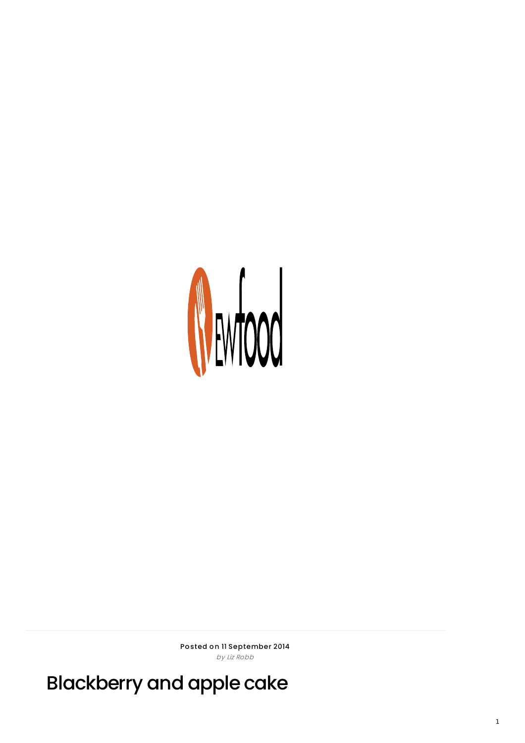

Posted on 11 September 2014 by Liz Robb

Blackberry and apple cake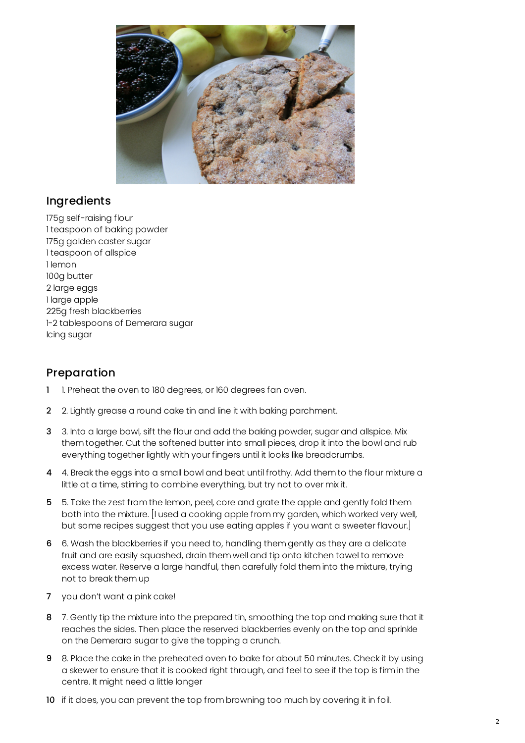

## Ingredients

175g self-raising flour 1 teaspoon of baking powder 175g golden caster sugar 1 teaspoon of allspice 1 lemon 100g butter 2 large eggs 1 large apple 225g fresh blackberries 1-2 tablespoons of Demerara sugar Icing sugar

## Preparation

- 1 1. Preheat the oven to 180 degrees, or 160 degrees fan oven.
- 2 2. Lightly grease a round cake tin and line it with baking parchment.
- 3 3. Into a large bowl, sift the flour and add the baking powder, sugar and allspice. Mix them together. Cut the softened butter into small pieces, drop it into the bowl and rub everything together lightly with your fingers until it looks like breadcrumbs.
- 4 4. Break the eggs into a small bowl and beat until frothy. Add them to the flour mixture a little at a time, stirring to combine everything, but try not to over mix it.
- 5 5. Take the zest from the lemon, peel, core and grate the apple and gently fold them both into the mixture. [I used a cooking apple from my garden, which worked very well, but some recipes suggest that you use eating apples if you want a sweeter flavour.]
- 6 6. Wash the blackberries if you need to, handling them gently as they are a delicate fruit and are easily squashed, drain them well and tip onto kitchen towel to remove excess water. Reserve a large handful, then carefully fold them into the mixture, trying not to break them up
- 7 you don't want a pink cake!
- 8 7. Gently tip the mixture into the prepared tin, smoothing the top and making sure that it reaches the sides. Then place the reserved blackberries evenly on the top and sprinkle on the Demerara sugar to give the topping a crunch.
- 9 8. Place the cake in the preheated oven to bake for about 50 minutes. Check it by using a skewer to ensure that it is cooked right through, and feel to see if the top is firm in the centre. It might need a little longer
- 10 if it does, you can prevent the top from browning too much by covering it in foil.